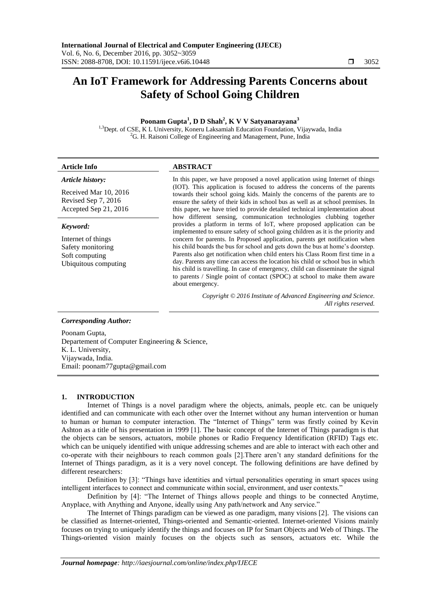# **An IoT Framework for Addressing Parents Concerns about Safety of School Going Children**

# **Poonam Gupta<sup>1</sup> , D D Shah<sup>2</sup> , K V V Satyanarayana<sup>3</sup>**

<sup>1,3</sup>Dept. of CSE, K L University, Koneru Laksamiah Education Foundation, Vijaywada, India <sup>2</sup>G. H. Raisoni College of Engineering and Management, Pune, India

| <b>Article Info</b>                                                                           | <b>ABSTRACT</b>                                                                                                                                                                                                                                                                                                                                                                                                                                                                                                                                                                                                                                                                  |
|-----------------------------------------------------------------------------------------------|----------------------------------------------------------------------------------------------------------------------------------------------------------------------------------------------------------------------------------------------------------------------------------------------------------------------------------------------------------------------------------------------------------------------------------------------------------------------------------------------------------------------------------------------------------------------------------------------------------------------------------------------------------------------------------|
| Article history:                                                                              | In this paper, we have proposed a novel application using Internet of things                                                                                                                                                                                                                                                                                                                                                                                                                                                                                                                                                                                                     |
| Received Mar 10, 2016<br>Revised Sep 7, 2016<br>Accepted Sep 21, 2016                         | (IOT). This application is focused to address the concerns of the parents<br>towards their school going kids. Mainly the concerns of the parents are to<br>ensure the safety of their kids in school bus as well as at school premises. In<br>this paper, we have tried to provide detailed technical implementation about<br>how different sensing, communication technologies clubbing together                                                                                                                                                                                                                                                                                |
| Keyword:<br>Internet of things<br>Safety monitoring<br>Soft computing<br>Ubiquitous computing | provides a platform in terms of IoT, where proposed application can be<br>implemented to ensure safety of school going children as it is the priority and<br>concern for parents. In Proposed application, parents get notification when<br>his child boards the bus for school and gets down the bus at home's doorstep.<br>Parents also get notification when child enters his Class Room first time in a<br>day. Parents any time can access the location his child or school bus in which<br>his child is travelling. In case of emergency, child can disseminate the signal<br>to parents / Single point of contact (SPOC) at school to make them aware<br>about emergency. |
|                                                                                               | Copyright © 2016 Institute of Advanced Engineering and Science.<br>All rights reserved.                                                                                                                                                                                                                                                                                                                                                                                                                                                                                                                                                                                          |

#### *Corresponding Author:*

Poonam Gupta, Departement of Computer Engineering & Science, K. L. University, Vijaywada, India. Email: poonam77gupta@gmail.com

#### **1. INTRODUCTION**

Internet of Things is a novel paradigm where the objects, animals, people etc. can be uniquely identified and can communicate with each other over the Internet without any human intervention or human to human or human to computer interaction. The "Internet of Things" term was firstly coined by Kevin Ashton as a title of his presentation in 1999 [1]. The basic concept of the Internet of Things paradigm is that the objects can be sensors, actuators, mobile phones or Radio Frequency Identification (RFID) Tags etc. which can be uniquely identified with unique addressing schemes and are able to interact with each other and co-operate with their neighbours to reach common goals [2].There aren"t any standard definitions for the Internet of Things paradigm, as it is a very novel concept. The following definitions are have defined by different researchers:

Definition by [3]: "Things have identities and virtual personalities operating in smart spaces using intelligent interfaces to connect and communicate within social, environment, and user contexts."

Definition by [4]: "The Internet of Things allows people and things to be connected Anytime, Anyplace, with Anything and Anyone, ideally using Any path/network and Any service."

The Internet of Things paradigm can be viewed as one paradigm, many visions [2]. The visions can be classified as Internet-oriented, Things-oriented and Semantic-oriented. Internet-oriented Visions mainly focuses on trying to uniquely identify the things and focuses on IP for Smart Objects and Web of Things. The Things-oriented vision mainly focuses on the objects such as sensors, actuators etc. While the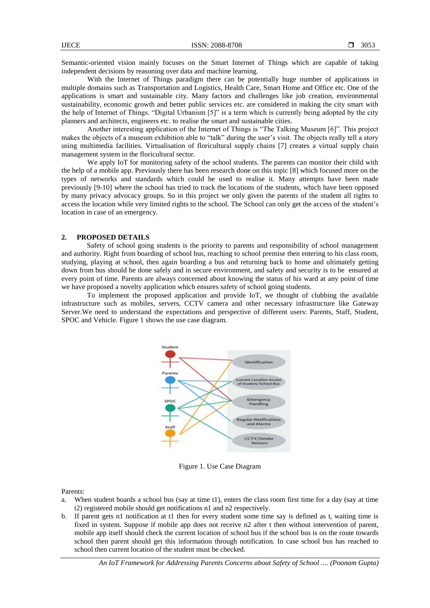Semantic-oriented vision mainly focuses on the Smart Internet of Things which are capable of taking independent decisions by reasoning over data and machine learning.

With the Internet of Things paradigm there can be potentially huge number of applications in multiple domains such as Transportation and Logistics, Health Care, Smart Home and Office etc. One of the applications is smart and sustainable city. Many factors and challenges like job creation, environmental sustainability, economic growth and better public services etc. are considered in making the city smart with the help of Internet of Things. "Digital Urbanism [5]" is a term which is currently being adopted by the city planners and architects, engineers etc. to realise the smart and sustainable cities.

Another interesting application of the Internet of Things is "The Talking Museum [6]". This project makes the objects of a museum exhibition able to "talk" during the user's visit. The objects really tell a story using multimedia facilities. Virtualisation of floricultural supply chains [7] creates a virtual supply chain management system in the floricultural sector.

We apply IoT for monitoring safety of the school students. The parents can monitor their child with the help of a mobile app. Previously there has been research done on this topic [8] which focused more on the types of networks and standards which could be used to realise it. Many attempts have been made previously [9-10] where the school has tried to track the locations of the students, which have been opposed by many privacy advocacy groups. So in this project we only given the parents of the student all rights to access the location while very limited rights to the school. The School can only get the access of the student's location in case of an emergency.

### **2. PROPOSED DETAILS**

Safety of school going students is the priority to parents and responsibility of school management and authority. Right from boarding of school bus, reaching to school premise then entering to his class room, studying, playing at school, then again boarding a bus and returning back to home and ultimately getting down from bus should be done safely and in secure environment, and safety and security is to be ensured at every point of time. Parents are always concerned about knowing the status of his ward at any point of time we have proposed a novelty application which ensures safety of school going students.

To implement the proposed application and provide IoT, we thought of clubbing the available infrastructure such as mobiles, servers, CCTV camera and other necessary infrastructure like Gateway Server.We need to understand the expectations and perspective of different users: Parents, Staff, Student, SPOC and Vehicle. Figure 1 shows the use case diagram.



Figure 1. Use Case Diagram

Parents:

- a. When student boards a school bus (say at time t1), enters the class room first time for a day (say at time t2) registered mobile should get notifications n1 and n2 respectively.
- b. If parent gets n1 notification at t1 then for every student some time say is defined as t, waiting time is fixed in system. Suppose if mobile app does not receive n2 after t then without intervention of parent, mobile app itself should check the current location of school bus if the school bus is on the route towards school then parent should get this information through notification. In case school bus has reached to school then current location of the student must be checked.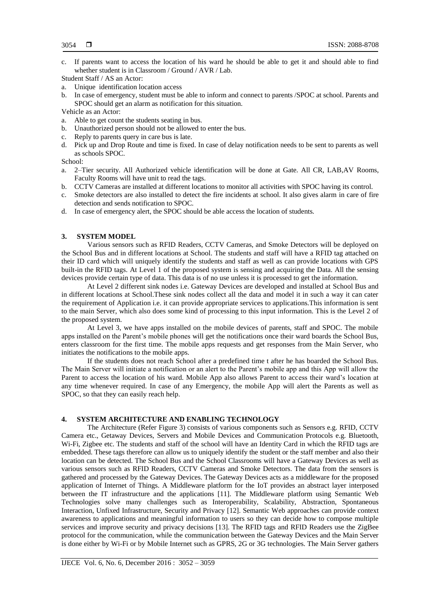c. If parents want to access the location of his ward he should be able to get it and should able to find whether student is in Classroom / Ground / AVR / Lab.

Student Staff / AS an Actor:

- a. Unique identification location access
- b. In case of emergency, student must be able to inform and connect to parents /SPOC at school. Parents and SPOC should get an alarm as notification for this situation.

Vehicle as an Actor:

- a. Able to get count the students seating in bus.
- b. Unauthorized person should not be allowed to enter the bus.
- c. Reply to parents query in care bus is late.
- d. Pick up and Drop Route and time is fixed. In case of delay notification needs to be sent to parents as well as schools SPOC.

School:

- a. 2–Tier security. All Authorized vehicle identification will be done at Gate. All CR, LAB,AV Rooms, Faculty Rooms will have unit to read the tags.
- b. CCTV Cameras are installed at different locations to monitor all activities with SPOC having its control.
- c. Smoke detectors are also installed to detect the fire incidents at school. It also gives alarm in care of fire detection and sends notification to SPOC.
- d. In case of emergency alert, the SPOC should be able access the location of students.

## **3. SYSTEM MODEL**

Various sensors such as RFID Readers, CCTV Cameras, and Smoke Detectors will be deployed on the School Bus and in different locations at School. The students and staff will have a RFID tag attached on their ID card which will uniquely identify the students and staff as well as can provide locations with GPS built-in the RFID tags. At Level 1 of the proposed system is sensing and acquiring the Data. All the sensing devices provide certain type of data. This data is of no use unless it is processed to get the information.

At Level 2 different sink nodes i.e. Gateway Devices are developed and installed at School Bus and in different locations at School.These sink nodes collect all the data and model it in such a way it can cater the requirement of Application i.e. it can provide appropriate services to applications.This information is sent to the main Server, which also does some kind of processing to this input information. This is the Level 2 of the proposed system.

At Level 3, we have apps installed on the mobile devices of parents, staff and SPOC. The mobile apps installed on the Parent"s mobile phones will get the notifications once their ward boards the School Bus, enters classroom for the first time. The mobile apps requests and get responses from the Main Server, who initiates the notifications to the mobile apps.

If the students does not reach School after a predefined time t after he has boarded the School Bus. The Main Server will initiate a notification or an alert to the Parent"s mobile app and this App will allow the Parent to access the location of his ward. Mobile App also allows Parent to access their ward"s location at any time whenever required. In case of any Emergency, the mobile App will alert the Parents as well as SPOC, so that they can easily reach help.

## **4. SYSTEM ARCHITECTURE AND ENABLING TECHNOLOGY**

The Architecture (Refer Figure 3) consists of various components such as Sensors e.g. RFID, CCTV Camera etc., Getaway Devices, Servers and Mobile Devices and Communication Protocols e.g. Bluetooth, Wi-Fi, Zigbee etc. The students and staff of the school will have an Identity Card in which the RFID tags are embedded. These tags therefore can allow us to uniquely identify the student or the staff member and also their location can be detected. The School Bus and the School Classrooms will have a Gateway Devices as well as various sensors such as RFID Readers, CCTV Cameras and Smoke Detectors. The data from the sensors is gathered and processed by the Gateway Devices. The Gateway Devices acts as a middleware for the proposed application of Internet of Things. A Middleware platform for the IoT provides an abstract layer interposed between the IT infrastructure and the applications [11]. The Middleware platform using Semantic Web Technologies solve many challenges such as Interoperability, Scalability, Abstraction, Spontaneous Interaction, Unfixed Infrastructure, Security and Privacy [12]. Semantic Web approaches can provide context awareness to applications and meaningful information to users so they can decide how to compose multiple services and improve security and privacy decisions [13]. The RFID tags and RFID Readers use the ZigBee protocol for the communication, while the communication between the Gateway Devices and the Main Server is done either by Wi-Fi or by Mobile Internet such as GPRS, 2G or 3G technologies. The Main Server gathers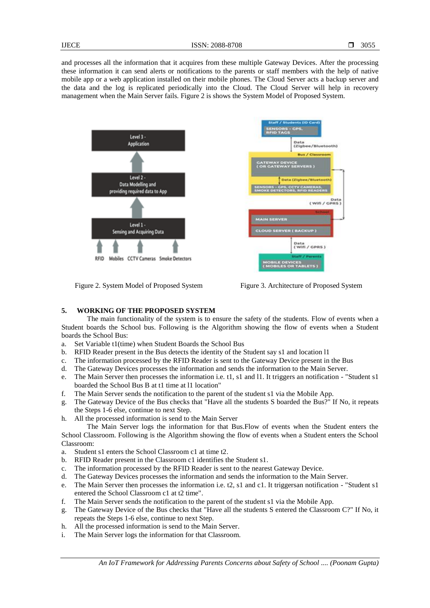and processes all the information that it acquires from these multiple Gateway Devices. After the processing these information it can send alerts or notifications to the parents or staff members with the help of native mobile app or a web application installed on their mobile phones. The Cloud Server acts a backup server and the data and the log is replicated periodically into the Cloud. The Cloud Server will help in recovery management when the Main Server fails. Figure 2 is shows the System Model of Proposed System.





#### **5. WORKING OF THE PROPOSED SYSTEM**

The main functionality of the system is to ensure the safety of the students. Flow of events when a Student boards the School bus. Following is the Algorithm showing the flow of events when a Student boards the School Bus:

- a. Set Variable t1(time) when Student Boards the School Bus
- b. RFID Reader present in the Bus detects the identity of the Student say s1 and location l1
- c. The information processed by the RFID Reader is sent to the Gateway Device present in the Bus
- d. The Gateway Devices processes the information and sends the information to the Main Server.
- e. The Main Server then processes the information i.e. t1, s1 and l1. It triggers an notification "Student s1 boarded the School Bus B at t1 time at l1 location"
- f. The Main Server sends the notification to the parent of the student s1 via the Mobile App.
- g. The Gateway Device of the Bus checks that "Have all the students S boarded the Bus?" If No, it repeats the Steps 1-6 else, continue to next Step.
- h. All the processed information is send to the Main Server

The Main Server logs the information for that Bus.Flow of events when the Student enters the School Classroom. Following is the Algorithm showing the flow of events when a Student enters the School Classroom:

- a. Student s1 enters the School Classroom c1 at time t2.
- b. RFID Reader present in the Classroom c1 identifies the Student s1.
- c. The information processed by the RFID Reader is sent to the nearest Gateway Device.
- d. The Gateway Devices processes the information and sends the information to the Main Server.
- e. The Main Server then processes the information i.e. t2, s1 and c1. It triggersan notification "Student s1 entered the School Classroom c1 at t2 time".
- f. The Main Server sends the notification to the parent of the student s1 via the Mobile App.
- g. The Gateway Device of the Bus checks that "Have all the students S entered the Classroom C?" If No, it repeats the Steps 1-6 else, continue to next Step.
- h. All the processed information is send to the Main Server.
- i. The Main Server logs the information for that Classroom.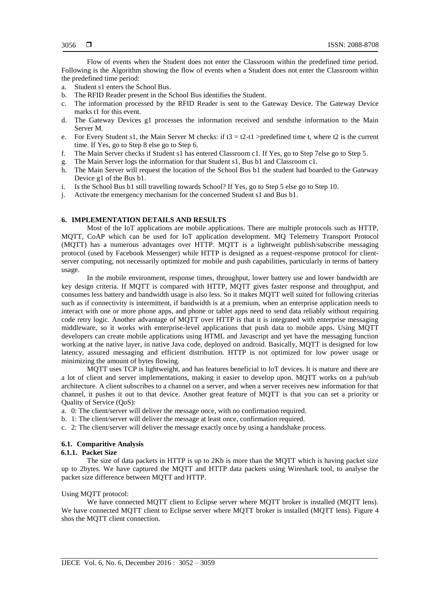Flow of events when the Student does not enter the Classroom within the predefined time period. Following is the Algorithm showing the flow of events when a Student does not enter the Classroom within the predefined time period:

- a. Student s1 enters the School Bus.
- b. The RFID Reader present in the School Bus identifies the Student.
- c. The information processed by the RFID Reader is sent to the Gateway Device. The Gateway Device marks t1 for this event.
- d. The Gateway Devices g1 processes the information received and sendsthe information to the Main Server M.
- e. For Every Student s1, the Main Server M checks: if  $t3 = t2-t1$  >predefined time t, where t2 is the current time. If Yes, go to Step 8 else go to Step 6.
- f. The Main Server checks if Student s1 has entered Classroom c1. If Yes, go to Step 7else go to Step 5.
- g. The Main Server logs the information for that Student s1, Bus b1 and Classroom c1.
- The Main Server will request the location of the School Bus b1 the student had boarded to the Gateway Device g1 of the Bus b1.
- i. Is the School Bus b1 still travelling towards School? If Yes, go to Step 5 else go to Step 10.
- j. Activate the emergency mechanism for the concerned Student s1 and Bus b1.

# **6. IMPLEMENTATION DETAILS AND RESULTS**

Most of the IoT applications are mobile applications. There are multiple protocols such as HTTP, MQTT, CoAP which can be used for IoT application development. MQ Telemetry Transport Protocol (MQTT) has a numerous advantages over HTTP. MQTT is a lightweight publish/subscribe messaging protocol (used by Facebook Messenger) while HTTP is designed as a request-response protocol for clientserver computing, not necessarily optimized for mobile and push capabilities, particularly in terms of battery usage.

In the mobile environment, response times, throughput, lower battery use and lower bandwidth are key design criteria. If MQTT is compared with HTTP, MQTT gives faster response and throughput, and consumes less battery and bandwidth usage is also less. So it makes MQTT well suited for following criterias such as if connectivity is intermittent, if bandwidth is at a premium, when an enterprise application needs to interact with one or more phone apps, and phone or tablet apps need to send data reliably without requiring code retry logic. Another advantage of MQTT over HTTP is that it is integrated with enterprise messaging middleware, so it works with enterprise-level applications that push data to mobile apps. Using MQTT developers can create mobile applications using HTML and Javascript and yet have the messaging function working at the native layer, in native Java code, deployed on android. Basically, MQTT is designed for low latency, assured messaging and efficient distribution. HTTP is not optimized for low power usage or minimizing the amount of bytes flowing.

MQTT uses TCP is lightweight, and has features beneficial to IoT devices. It is mature and there are a lot of client and server implementations, making it easier to develop upon. MQTT works on a pub/sub architecture. A client subscribes to a channel on a server, and when a server receives new information for that channel, it pushes it out to that device. Another great feature of MQTT is that you can set a priority or Quality of Service (QoS):

- a. 0: The client/server will deliver the message once, with no confirmation required.
- b. 1: The client/server will deliver the message at least once, confirmation required.
- c. 2: The client/server will deliver the message exactly once by using a handshake process.

#### **6.1. Comparitive Analysis**

#### **6.1.1. Packet Size**

The size of data packets in HTTP is up to 2Kb is more than the MQTT which is having packet size up to 2bytes. We have captured the MQTT and HTTP data packets using Wireshark tool, to analyse the packet size difference between MQTT and HTTP.

#### Using MQTT protocol:

We have connected MQTT client to Eclipse server where MQTT broker is installed (MQTT lens). We have connected MOTT client to Eclipse server where MOTT broker is installed (MOTT lens). Figure 4 shos the MQTT client connection.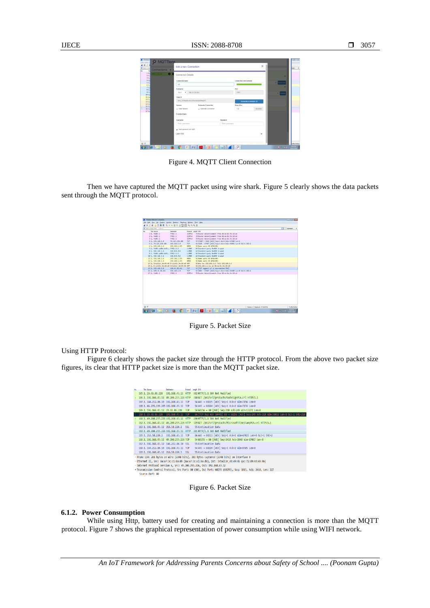| 16<br>$\sim$ $\sim$ $\sim$ $\sim$<br>26. | Connection Details                          |                | $\overline{\phantom{a}}$                   |  |  |  |
|------------------------------------------|---------------------------------------------|----------------|--------------------------------------------|--|--|--|
| 31<br>$\frac{41}{51}$                    | Connection name                             |                | Connection color scheme<br><b>BI</b> nessu |  |  |  |
|                                          | 406                                         |                |                                            |  |  |  |
| $\frac{61}{71}$<br>8.2.                  | Hostopme                                    | Port           | ×                                          |  |  |  |
| 31                                       | fcp:// - 198.41.30.245                      | tists          | $\bullet$ Putak                            |  |  |  |
| 281.<br>111                              | Cleat ID                                    |                |                                            |  |  |  |
| 121<br>23.2.                             | lens. OSKeb/FuAcUS/ivclienvil@spPC          |                | Generate a random ID                       |  |  |  |
| 342                                      | Automatic Connection<br><b>Season</b>       | Keep Also      |                                            |  |  |  |
| 152<br>362 <sub>1</sub>                  | U. Clean Session<br>U. Automatic Connection | 120            | seconds                                    |  |  |  |
| 272                                      |                                             |                |                                            |  |  |  |
|                                          | Credentials                                 |                |                                            |  |  |  |
|                                          | Username                                    | Pessword       |                                            |  |  |  |
|                                          | Enter vaamans                               | Enter password |                                            |  |  |  |
|                                          | gi. Hash passeord with MDS<br>Last-Will     |                | $\checkmark$                               |  |  |  |

Figure 4. MQTT Client Connection

Then we have captured the MQTT packet using wire shark. Figure 5 clearly shows the data packets sent through the MQTT protocol.

|     | ANCE ADRE SHORT ACTES                         |                |                  |                                                                |                    |
|-----|-----------------------------------------------|----------------|------------------|----------------------------------------------------------------|--------------------|
|     | <b>Electricity by City</b>                    |                |                  |                                                                | $\Box$ - former.   |
|     | <b>Tex Stars</b>                              | Destration     | Rotace Lange Job |                                                                |                    |
|     | 2 R. 4480cc1                                  | FREE: LE       | 10Pv6            | · 28 Router Advertisement from Alice de the 18 ad              |                    |
|     | $2.6 - 6$ different                           | FFE2:11        | 10Pv6            | - 39 Rocher Abouttingson from Alling the the World             |                    |
|     | 3 L. 4480:11                                  | FRED.IT        | 20946            | - 28 Router Advertisement from Alconolic the 28 off            |                    |
|     | 41. 197.168.1.8                               | 74.125.130.188 | TOP:             | 15 STAIT + 5228 (ACK) Sept1 de2-1 Min-C7588 Land.              |                    |
|     | 51, 74, 126, 158, 188                         | 192, 148, 1.8  | TCP:             | 86 5228 + 57407 (ADC) Supri doles Min-46896 Lanvil SLS-1 585-2 |                    |
|     | F.L. 197,168.T.6                              | 192.148.1.255  | sales.           | 10 Name doary 50 MPAD-081-                                     |                    |
|     | 2.1. Automatic Autor: FRONTO                  |                | CLIMBER          | 34 Standard query Bulliff A upad                               |                    |
|     | 8 1. 197, 168, 1.6                            | 224.0.0.252    | <b>CLFRON</b>    | 54 Stanfard query Bullift A upad                               |                    |
|     | 9.1. Additionally-body., evaluately           |                | CLINIC           | 84 Standard query Bullifly A upad                              |                    |
|     | IF 1, 192, 168, 1.6                           | 224.0.0.252    | CLABBE           | 54 Standard query Bullifly A upad                              |                    |
|     | 15 S., 292,588 T. 6                           | 192.548.1.255  | spect.           | 10 News query 50 MND-085                                       |                    |
|     | 12 1. 192.188.1.6                             | 192.548.1.255  | spect.           | 10 Name doesn't felt strab-obly-                               |                    |
|     | 13-2. Intelior At-Sk-AS D-Linkle Sections ANP |                |                  | 42 Mo: Nas. 292,168.1.17 Tell 192.168.1.8                      |                    |
|     | 14 2. D-114kIs Sections IntelCor Accessi AMP  |                |                  | 42 292.168.1.2 In at 48:ee-9c/9e:18:e8                         |                    |
|     | 15 2. 192.168.1.8                             | 198.81.30.341  | YOF              | 15 CEP suggest of a resonabled POST                            |                    |
| . . | 16 Z., 198, 41, 30, 341                       | 182, 168, 1.8  | TCP.             | 66 SBS1 + ST687 EADST Sept1 Ado-2 Min-58680 Lanv8 SLE-1 SRE-2  |                    |
|     | 17.2. fallitud.                               | <b>FFED:IL</b> | 10Pv6            | 76 Rocher Advertisement from All an the De 120 all             |                    |
|     |                                               |                |                  |                                                                |                    |
|     |                                               |                |                  | Relate 17 Delevel 17100 PM                                     | <b>Suite Colui</b> |

Figure 5. Packet Size

Using HTTP Protocol:

Figure 6 clearly shows the packet size through the HTTP protocol. From the above two packet size figures, its clear that HTTP packet size is more than the MQTT packet size.

| Time Sports                                                                                           | Desfruction | Protocol | Length Info                                                                                                 |  |  |
|-------------------------------------------------------------------------------------------------------|-------------|----------|-------------------------------------------------------------------------------------------------------------|--|--|
| 105 2 23.61.86.228 192.168.43.12 HTTP                                                                 |             |          | 302 HTTP/1.1 304 Not Modified                                                                               |  |  |
| 106 2 192.168.43.12 49.200.255.226 HTTP                                                               |             |          | 318 GET /pki/crl/products/CodeSignPCA.crl HTTP/1.1                                                          |  |  |
| 107 2 144, 212, 80, 10 192, 168, 43, 12 TCP                                                           |             |          | 54 443 → 60225 [ACK] Seq=1 Ack=2 Win=7156 Len=0                                                             |  |  |
| 108 2 66, 235, 139, 205 192, 168, 43, 12 TCP                                                          |             |          | 54 443 → 60244 [ACK] Seq=1 Ack=2 Win=7174 Len=0                                                             |  |  |
| 109 2 192.168.43.12 23.61.86.228                                                                      |             | TCP      | 54 60256 → 80 [ACK] Seq=310 Ack=249 Win=17272 Len=0                                                         |  |  |
| 110 2 23.61.86.228 192.168.43.12 TCP                                                                  |             |          | 66 [TCP Dup ACK 104#1] 80 → 60256 [ACK] Seq=249 Ack=310 Win=30016 Len=0 SLE=1 SRE=310                       |  |  |
| 111 2 49.200.255.226 192.168.43.12 HTTP                                                               |             |          | 280 HTTP/1.1 304 Not Modified                                                                               |  |  |
| 112 2 192 168 43 12 49 200 255 226 HTTP                                                               |             |          | 329 GET /pki/crl/products/MicrosoftTimeStampPCA.crl HTTP/1.1                                                |  |  |
| 113 2 192 168 43 12 216 58 220 2 551                                                                  |             |          | 55 Continuation Data                                                                                        |  |  |
| 114 2 49 200 255 226 192 168 43 12 HTTP                                                               |             |          | 281 HTTP/1.1 304 Not Modified                                                                               |  |  |
| 115 2 216, 58, 220, 2 192, 168, 43, 12 TCP                                                            |             |          | 66 443 → 60211 [ACK] Seq=1 Ack=2 Win=47023 Len=0 SLE=1 SRE=2                                                |  |  |
| 116 2 192.168.43.12 49.200.255.226 TCP                                                                |             |          | 54 60255 → 80 [ACK] Seq=2410 Ack=2040 Win=17067 Len=0                                                       |  |  |
| 117 2 192.168.43.12 144.212.80.10 SSL                                                                 |             |          | 55 Continuation Data                                                                                        |  |  |
| 118 2 144, 212, 80, 10 192, 168, 43, 12 TCP                                                           |             |          | 54 443 → 60224 [ACK] Seq=1 Ack=2 Win=8585 Len=0                                                             |  |  |
| 119 2 192 168 43 12 216 58 220 3 SSL                                                                  |             |          | 55 Continuation Data                                                                                        |  |  |
| P Frame 114: 281 bytes on wire (2248 bits), 281 bytes captured (2248 bits) on interface 0             |             |          |                                                                                                             |  |  |
| > Ethernet II, Src: 8a:a7:3c:c1:8a:d9 (8a:a7:3c:c1:8a:d9), Dst: IntelCor 4d:49:46 (ac:72:89:4d:49:46) |             |          |                                                                                                             |  |  |
|                                                                                                       |             |          | > Internet Protocol Version 4, Src: 49.200.255.226, Dst: 192.168.43.12                                      |  |  |
|                                                                                                       |             |          | - Transmission Control Protocol, Src Port: 80 (80), Dst Port: 60255 (60255), Seq: 1813, Ack: 2410, Len: 227 |  |  |
| Source Port: 80                                                                                       |             |          |                                                                                                             |  |  |

Figure 6. Packet Size

# **6.1.2. Power Consumption**

While using Http, battery used for creating and maintaining a connection is more than the MQTT protocol. Figure 7 shows the graphical representation of power consumption while using WIFI network.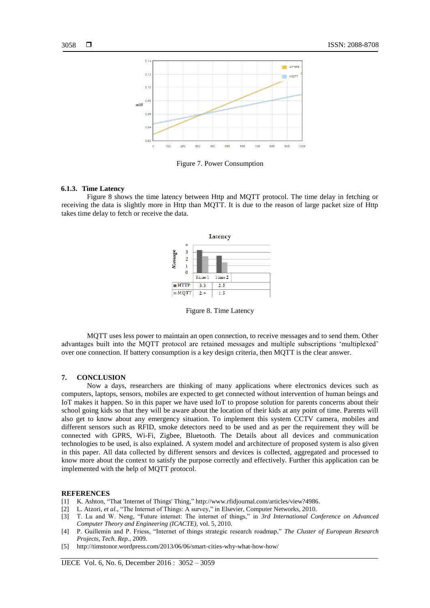

Figure 7. Power Consumption

#### **6.1.3. Time Latency**

Figure 8 shows the time latency between Http and MQTT protocol. The time delay in fetching or receiving the data is slightly more in Http than MQTT. It is due to the reason of large packet size of Http takes time delay to fetch or receive the data.



Figure 8. Time Latency

MQTT uses less power to maintain an open connection, to receive messages and to send them. Other advantages built into the MQTT protocol are retained messages and multiple subscriptions "multiplexed" over one connection. If battery consumption is a key design criteria, then MQTT is the clear answer.

#### **7. CONCLUSION**

Now a days, researchers are thinking of many applications where electronics devices such as computers, laptops, sensors, mobiles are expected to get connected without intervention of human beings and IoT makes it happen. So in this paper we have used IoT to propose solution for parents concerns about their school going kids so that they will be aware about the location of their kids at any point of time. Parents will also get to know about any emergency situation. To implement this system CCTV camera, mobiles and different sensors such as RFID, smoke detectors need to be used and as per the requirement they will be connected with GPRS, Wi-Fi, Zigbee, Bluetooth. The Details about all devices and communication technologies to be used, is also explained. A system model and architecture of proposed system is also given in this paper. All data collected by different sensors and devices is collected, aggregated and processed to know more about the context to satisfy the purpose correctly and effectively. Further this application can be implemented with the help of MQTT protocol.

#### **REFERENCES**

- [1] K. Ashton, "That 'Internet of Things' Thing," http://www.rfidjournal.com/articles/view?4986.
- [2] L. Atzori, *et al*., "The Internet of Things: A survey," in Elsevier, Computer Networks, 2010.
- [3] T. Lu and W. Neng, "Future internet: The internet of things," in *3rd International Conference on Advanced Computer Theory and Engineering (ICACTE)*, vol. 5, 2010.
- [4] P. Guillemin and P. Friess, "Internet of things strategic research roadmap," *The Cluster of European Research Projects, Tech. Rep.*, 2009.
- [5] http://timstonor.wordpress.com/2013/06/06/smart-cities-why-what-how-how/